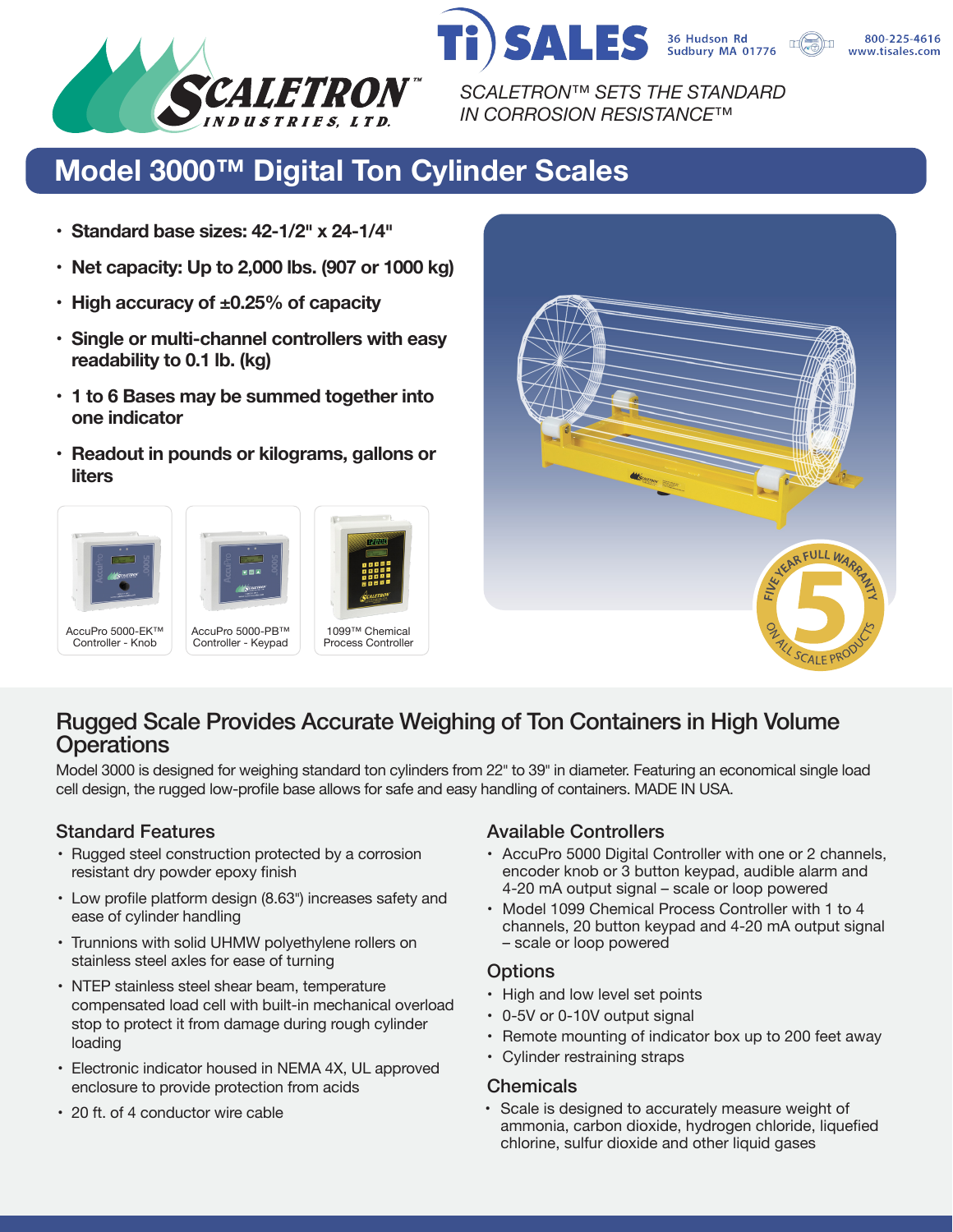

*SCALETRON™ SETS THE STANDARD IN CORROSION RESISTANCE™*

**SALES** 

# **Model 3000™ Digital Ton Cylinder Scales**

- **• Standard base sizes: 42-1/2� x 24-1/4�**
- **• Net capacity: Up to 2,000 lbs. (907 or 1000 kg)**
- **• High accuracy of ±0.25% of capacity**
- **• Single or multi-channel controllers with easy readability to 0.1 lb. (kg)**
- **• 1 to 6 Bases may be summed together into one indicator**
- **• Readout in pounds or kilograms, gallons or liters**





36 Hudson Rd<br>Sudbury MA 01776

## Rugged Scale Provides Accurate Weighing of Ton Containers in High Volume **Operations**

Model 3000 is designed for weighing standard ton cylinders from 22" to 39" in diameter. Featuring an economical single load cell design, the rugged low-profile base allows for safe and easy handling of containers. MADE IN USA.

- Rugged steel construction protected by a corrosion resistant dry powder epoxy finish
- Low profile platform design (8.63") increases safety and ease of cylinder handling
- Trunnions with solid UHMW polyethylene rollers on stainless steel axles for ease of turning
- NTEP stainless steel shear beam, temperature compensated load cell with built-in mechanical overload stop to protect it from damage during rough cylinder loading
- Electronic indicator housed in NEMA 4X, UL approved enclosure to provide protection from acids
- 20 ft. of 4 conductor wire cable

### Standard Features **Available Controllers** Available Controllers

- AccuPro 5000 Digital Controller with one or 2 channels, encoder knob or 3 button keypad, audible alarm and 4-20 mA output signal – scale or loop powered
- Model 1099 Chemical Process Controller with 1 to 4 channels, 20 button keypad and 4-20 mA output signal – scale or loop powered

#### **Options**

- High and low level set points
- 0-5V or 0-10V output signal
- Remote mounting of indicator box up to 200 feet away
- Cylinder restraining straps

#### **Chemicals**

• Scale is designed to accurately measure weight of ammonia, carbon dioxide, hydrogen chloride, liquefied chlorine, sulfur dioxide and other liquid gases

800-225-4616 www.tisales.com